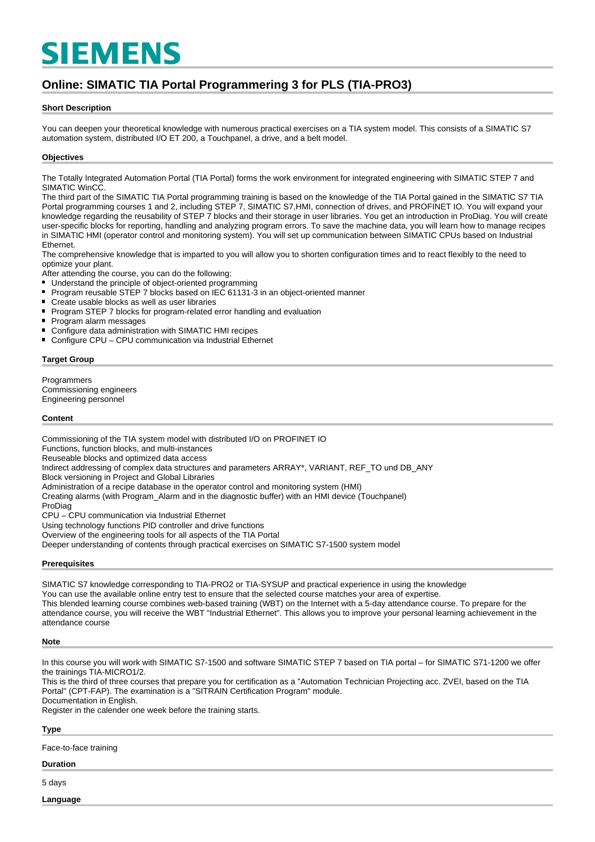# **SIEMENS**

# **Online: SIMATIC TIA Portal Programmering 3 for PLS (TIA-PRO3)**

#### **Short Description**

You can deepen your theoretical knowledge with numerous practical exercises on a TIA system model. This consists of a SIMATIC S7 automation system, distributed I/O ET 200, a Touchpanel, a drive, and a belt model.

#### **Objectives**

The Totally Integrated Automation Portal (TIA Portal) forms the work environment for integrated engineering with SIMATIC STEP 7 and SIMATIC WinCC.

The third part of the SIMATIC TIA Portal programming training is based on the knowledge of the TIA Portal gained in the SIMATIC S7 TIA Portal programming courses 1 and 2, including STEP 7, SIMATIC S7,HMI, connection of drives, and PROFINET IO. You will expand your knowledge regarding the reusability of STEP 7 blocks and their storage in user libraries. You get an introduction in ProDiag. You will create user-specific blocks for reporting, handling and analyzing program errors. To save the machine data, you will learn how to manage recipes in SIMATIC HMI (operator control and monitoring system). You will set up communication between SIMATIC CPUs based on Industrial Ethernet.

The comprehensive knowledge that is imparted to you will allow you to shorten configuration times and to react flexibly to the need to optimize your plant.

After attending the course, you can do the following:

- Understand the principle of object-oriented programming
- $\blacksquare$ Program reusable STEP 7 blocks based on IEC 61131-3 in an object-oriented manner
- $\blacksquare$ Create usable blocks as well as user libraries
- $\blacksquare$ Program STEP 7 blocks for program-related error handling and evaluation
- $\blacksquare$ Program alarm messages
- Configure data administration with SIMATIC HMI recipes  $\blacksquare$
- Configure CPU CPU communication via Industrial Ethernet

#### **Target Group**

**Programmers** Commissioning engineers Engineering personnel

#### **Content**

Commissioning of the TIA system model with distributed I/O on PROFINET IO Functions, function blocks, and multi-instances Reuseable blocks and optimized data access Indirect addressing of complex data structures and parameters ARRAY\*, VARIANT, REF\_TO und DB\_ANY Block versioning in Project and Global Libraries Administration of a recipe database in the operator control and monitoring system (HMI) Creating alarms (with Program\_Alarm and in the diagnostic buffer) with an HMI device (Touchpanel) ProDiag CPU – CPU communication via Industrial Ethernet

Using technology functions PID controller and drive functions

Overview of the engineering tools for all aspects of the TIA Portal

Deeper understanding of contents through practical exercises on SIMATIC S7-1500 system model

#### **Prerequisites**

SIMATIC S7 knowledge corresponding to TIA-PRO2 or TIA-SYSUP and practical experience in using the knowledge You can use the available online entry test to ensure that the selected course matches your area of expertise. This blended learning course combines web-based training (WBT) on the Internet with a 5-day attendance course. To prepare for the attendance course, you will receive the WBT "Industrial Ethernet". This allows you to improve your personal learning achievement in the attendance course

#### **Note**

In this course you will work with SIMATIC S7-1500 and software SIMATIC STEP 7 based on TIA portal – for SIMATIC S71-1200 we offer the trainings TIA-MICRO1/2.

This is the third of three courses that prepare you for certification as a "Automation Technician Projecting acc. ZVEI, based on the TIA Portal" (CPT-FAP). The examination is a "SITRAIN Certification Program" module. Documentation in English.

Register in the calender one week before the training starts.

# **Type**

Face-to-face training

# **Duration**

5 days

**Language**